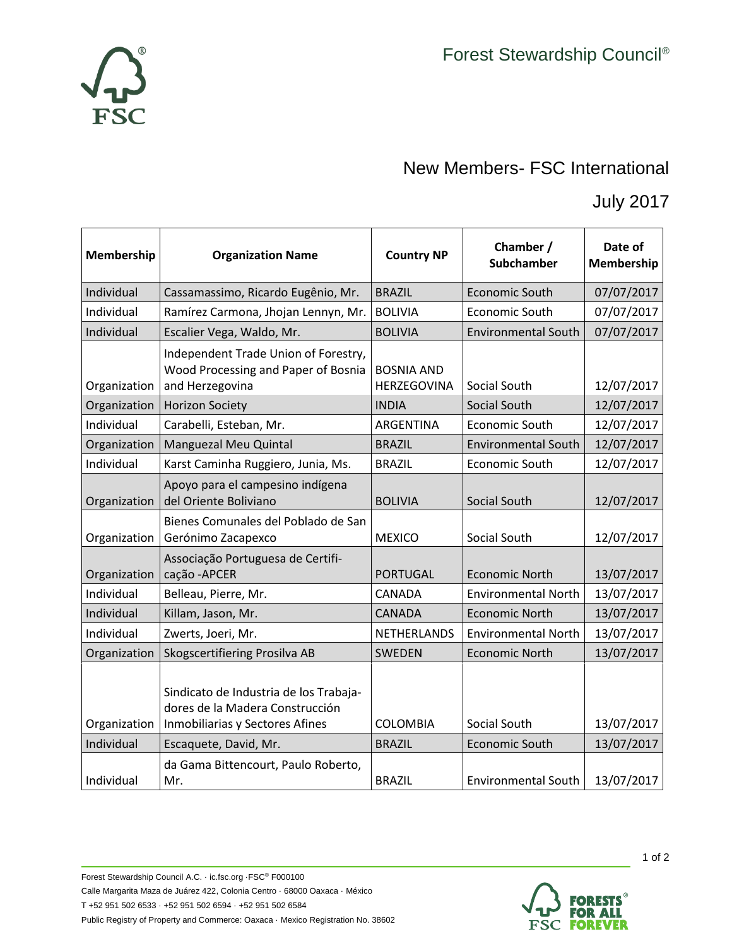

## New Members- FSC International

July 2017

| Membership   | <b>Organization Name</b>                                                                                     | <b>Country NP</b>                | Chamber /<br>Subchamber    | Date of<br>Membership |
|--------------|--------------------------------------------------------------------------------------------------------------|----------------------------------|----------------------------|-----------------------|
| Individual   | Cassamassimo, Ricardo Eugênio, Mr.                                                                           | <b>BRAZIL</b>                    | <b>Economic South</b>      | 07/07/2017            |
| Individual   | Ramírez Carmona, Jhojan Lennyn, Mr.                                                                          | <b>BOLIVIA</b>                   | <b>Economic South</b>      | 07/07/2017            |
| Individual   | Escalier Vega, Waldo, Mr.                                                                                    | <b>BOLIVIA</b>                   | <b>Environmental South</b> | 07/07/2017            |
| Organization | Independent Trade Union of Forestry,<br>Wood Processing and Paper of Bosnia<br>and Herzegovina               | <b>BOSNIA AND</b><br>HERZEGOVINA | Social South               | 12/07/2017            |
| Organization | <b>Horizon Society</b>                                                                                       | <b>INDIA</b>                     | Social South               | 12/07/2017            |
| Individual   | Carabelli, Esteban, Mr.                                                                                      | ARGENTINA                        | <b>Economic South</b>      | 12/07/2017            |
| Organization | Manguezal Meu Quintal                                                                                        | <b>BRAZIL</b>                    | <b>Environmental South</b> | 12/07/2017            |
| Individual   | Karst Caminha Ruggiero, Junia, Ms.                                                                           | <b>BRAZIL</b>                    | Economic South             | 12/07/2017            |
| Organization | Apoyo para el campesino indígena<br>del Oriente Boliviano                                                    | <b>BOLIVIA</b>                   | Social South               | 12/07/2017            |
| Organization | Bienes Comunales del Poblado de San<br>Gerónimo Zacapexco                                                    | <b>MEXICO</b>                    | Social South               | 12/07/2017            |
| Organization | Associação Portuguesa de Certifi-<br>cação - APCER                                                           | <b>PORTUGAL</b>                  | <b>Economic North</b>      | 13/07/2017            |
| Individual   | Belleau, Pierre, Mr.                                                                                         | CANADA                           | <b>Environmental North</b> | 13/07/2017            |
| Individual   | Killam, Jason, Mr.                                                                                           | <b>CANADA</b>                    | <b>Economic North</b>      | 13/07/2017            |
| Individual   | Zwerts, Joeri, Mr.                                                                                           | <b>NETHERLANDS</b>               | <b>Environmental North</b> | 13/07/2017            |
| Organization | Skogscertifiering Prosilva AB                                                                                | <b>SWEDEN</b>                    | <b>Economic North</b>      | 13/07/2017            |
| Organization | Sindicato de Industria de los Trabaja-<br>dores de la Madera Construcción<br>Inmobiliarias y Sectores Afines | <b>COLOMBIA</b>                  | Social South               | 13/07/2017            |
| Individual   | Escaquete, David, Mr.                                                                                        | <b>BRAZIL</b>                    | <b>Economic South</b>      | 13/07/2017            |
| Individual   | da Gama Bittencourt, Paulo Roberto,<br>Mr.                                                                   | <b>BRAZIL</b>                    | <b>Environmental South</b> | 13/07/2017            |